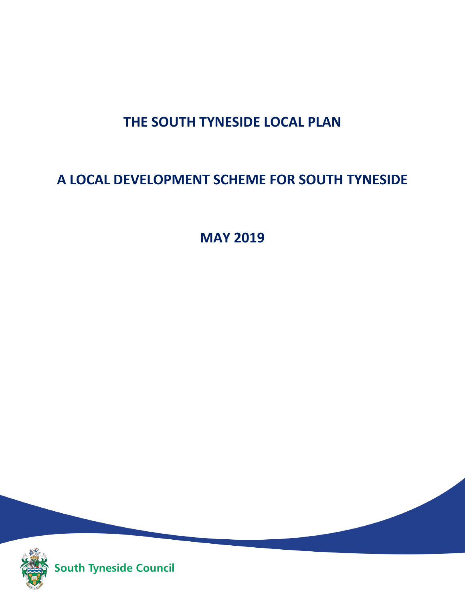# **THE SOUTH TYNESIDE LOCAL PLAN**

# **A LOCAL DEVELOPMENT SCHEME FOR SOUTH TYNESIDE**

**MAY 2019**



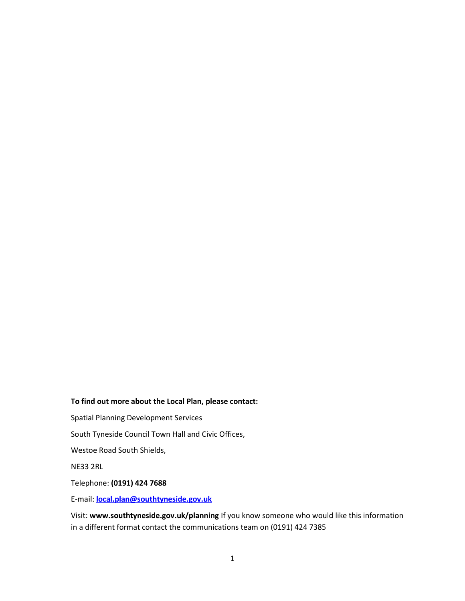#### **To find out more about the Local Plan, please contact:**

Spatial Planning Development Services

South Tyneside Council Town Hall and Civic Offices,

Westoe Road South Shields,

NE33 2RL

Telephone: **(0191) 424 7688** 

E-mail: **[local.plan@southtyneside.gov.uk](mailto:local.plan@southtyneside.gov.uk)**

Visit: **www.southtyneside.gov.uk/planning** If you know someone who would like this information in a different format contact the communications team on (0191) 424 7385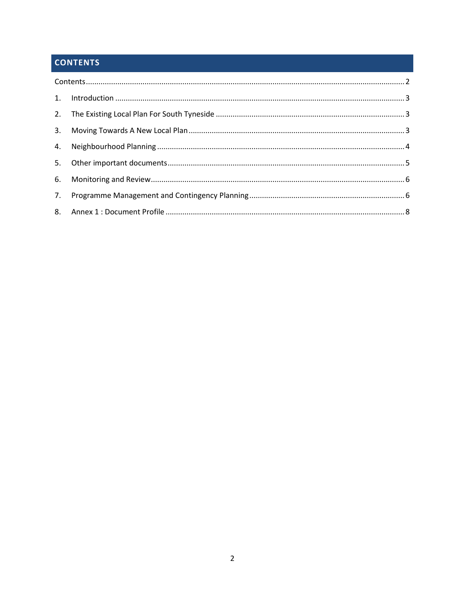# **CONTENTS**

| 5. |  |  |
|----|--|--|
|    |  |  |
| 7. |  |  |
|    |  |  |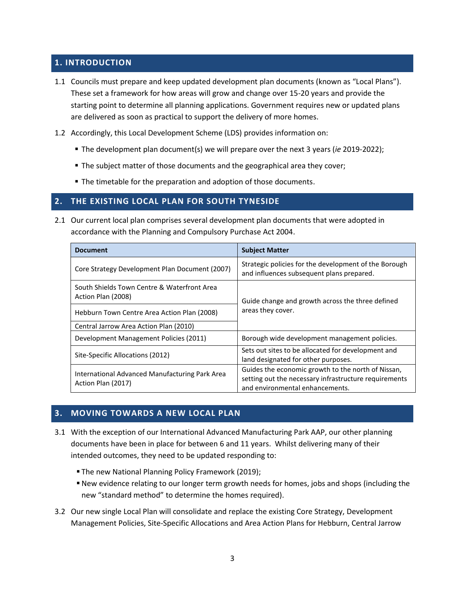# **1. INTRODUCTION**

- 1.1 Councils must prepare and keep updated development plan documents (known as "Local Plans"). These set a framework for how areas will grow and change over 15-20 years and provide the starting point to determine all planning applications. Government requires new or updated plans are delivered as soon as practical to support the delivery of more homes.
- 1.2 Accordingly, this Local Development Scheme (LDS) provides information on:
	- The development plan document(s) we will prepare over the next 3 years (*ie* 2019-2022);
	- **The subject matter of those documents and the geographical area they cover;**
	- $\blacksquare$  The timetable for the preparation and adoption of those documents.

### **2. THE EXISTING LOCAL PLAN FOR SOUTH TYNESIDE**

2.1 Our current local plan comprises several development plan documents that were adopted in accordance with the Planning and Compulsory Purchase Act 2004.

| <b>Document</b>                                                      | <b>Subject Matter</b>                                                                                                                          |
|----------------------------------------------------------------------|------------------------------------------------------------------------------------------------------------------------------------------------|
| Core Strategy Development Plan Document (2007)                       | Strategic policies for the development of the Borough<br>and influences subsequent plans prepared.                                             |
| South Shields Town Centre & Waterfront Area<br>Action Plan (2008)    | Guide change and growth across the three defined<br>areas they cover.                                                                          |
| Hebburn Town Centre Area Action Plan (2008)                          |                                                                                                                                                |
| Central Jarrow Area Action Plan (2010)                               |                                                                                                                                                |
| Development Management Policies (2011)                               | Borough wide development management policies.                                                                                                  |
| Site-Specific Allocations (2012)                                     | Sets out sites to be allocated for development and<br>land designated for other purposes.                                                      |
| International Advanced Manufacturing Park Area<br>Action Plan (2017) | Guides the economic growth to the north of Nissan,<br>setting out the necessary infrastructure requirements<br>and environmental enhancements. |

#### **3. MOVING TOWARDS A NEW LOCAL PLAN**

- 3.1 With the exception of our International Advanced Manufacturing Park AAP, our other planning documents have been in place for between 6 and 11 years. Whilst delivering many of their intended outcomes, they need to be updated responding to:
	- The new National Planning Policy Framework (2019);
	- New evidence relating to our longer term growth needs for homes, jobs and shops (including the new "standard method" to determine the homes required).
- 3.2 Our new single Local Plan will consolidate and replace the existing Core Strategy, [Development](https://www.southtyneside.gov.uk/media/13672/Development-Management-Policies-DPD-adopted-December-2011-/pdf/Development_Management_Policies_(revised_adopted_Dec.2011_-_cWHS_modified_2014).pdf)  [Management Policies,](https://www.southtyneside.gov.uk/media/13672/Development-Management-Policies-DPD-adopted-December-2011-/pdf/Development_Management_Policies_(revised_adopted_Dec.2011_-_cWHS_modified_2014).pdf) [Site-Specific Allocations and](https://www.southtyneside.gov.uk/media/14710/Site-Specific-Allocations-DPD-adopted-April-2012-/pdf/Site-Specific_Allocations_DPD_-_Final_Adopted_V5_April_2012.pdf) Area Action Plans for Hebburn, Central Jarrow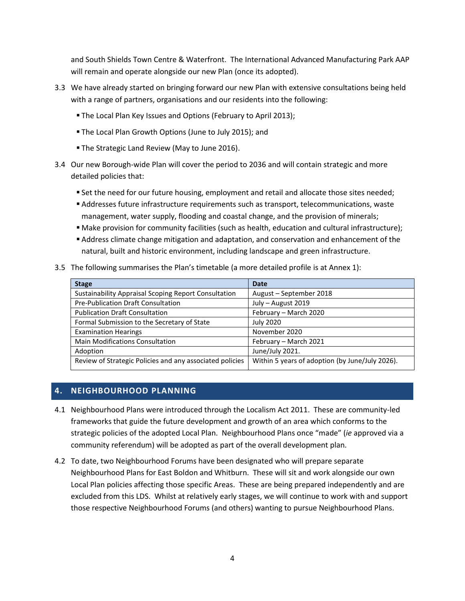and South Shields Town Centre & Waterfront. The International Advanced Manufacturing Park AAP will remain and operate alongside our new Plan (once its adopted).

- 3.3 We have already started on bringing forward our new Plan with extensive consultations being held with a range of partners, organisations and our residents into the following:
	- The Local Plan Key Issues and Options (February to April 2013);
	- The Local Plan Growth Options (June to July 2015); and
	- **The Strategic Land Review (May to June 2016).**
- 3.4 Our new Borough-wide Plan will cover the period to 2036 and will contain strategic and more detailed policies that:
	- Set the need for our future housing, employment and retail and allocate those sites needed;
	- Addresses future infrastructure requirements such as transport, telecommunications, waste management, water supply, flooding and coastal change, and the provision of minerals;
	- Make provision for community facilities (such as health, education and cultural infrastructure);
	- Address climate change mitigation and adaptation, and conservation and enhancement of the natural, built and historic environment, including landscape and green infrastructure.
- 3.5 The following summarises the Plan's timetable (a more detailed profile is at Annex 1):

| <b>Stage</b>                                             | Date                                            |
|----------------------------------------------------------|-------------------------------------------------|
| Sustainability Appraisal Scoping Report Consultation     | August - September 2018                         |
| Pre-Publication Draft Consultation                       | July - August 2019                              |
| <b>Publication Draft Consultation</b>                    | February - March 2020                           |
| Formal Submission to the Secretary of State              | <b>July 2020</b>                                |
| <b>Examination Hearings</b>                              | November 2020                                   |
| <b>Main Modifications Consultation</b>                   | February - March 2021                           |
| Adoption                                                 | June/July 2021.                                 |
| Review of Strategic Policies and any associated policies | Within 5 years of adoption (by June/July 2026). |

# **4. NEIGHBOURHOOD PLANNING**

- 4.1 Neighbourhood Plans were introduced through the Localism Act 2011. These are community-led frameworks that guide the future development and growth of an area which conforms to the strategic policies of the adopted Local Plan. Neighbourhood Plans once "made" (*ie* approved via a community referendum) will be adopted as part of the overall development plan.
- 4.2 To date, two Neighbourhood Forums have been designated who will prepare separate Neighbourhood Plans for East Boldon and Whitburn. These will sit and work alongside our own Local Plan policies affecting those specific Areas. These are being prepared independently and are excluded from this LDS. Whilst at relatively early stages, we will continue to work with and support those respective Neighbourhood Forums (and others) wanting to pursue Neighbourhood Plans.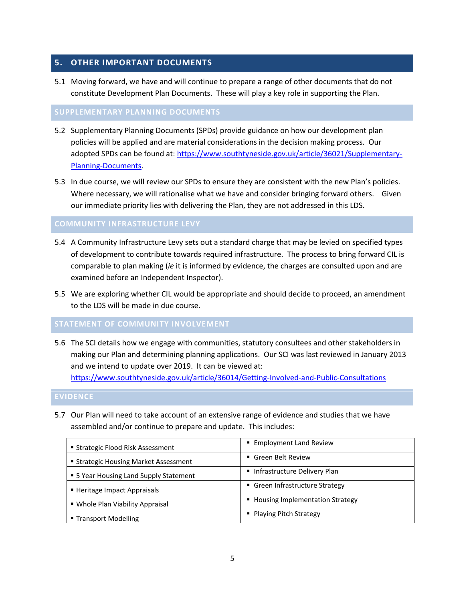## **5. OTHER IMPORTANT DOCUMENTS**

5.1 Moving forward, we have and will continue to prepare a range of other documents that do not constitute Development Plan Documents. These will play a key role in supporting the Plan.

#### **SUPPLEMENTARY PLANNING DOCUMENTS**

- 5.2 Supplementary Planning Documents (SPDs) provide guidance on how our development plan policies will be applied and are material considerations in the decision making process. Our adopted SPDs can be found at: [https://www.southtyneside.gov.uk/article/36021/Supplementary-](https://www.southtyneside.gov.uk/article/36021/Supplementary-Planning-Documents)[Planning-Documents.](https://www.southtyneside.gov.uk/article/36021/Supplementary-Planning-Documents)
- 5.3 In due course, we will review our SPDs to ensure they are consistent with the new Plan's policies. Where necessary, we will rationalise what we have and consider bringing forward others. Given our immediate priority lies with delivering the Plan, they are not addressed in this LDS.

#### **COMMUNITY INFRASTRUCTURE LEVY**

- 5.4 A Community Infrastructure Levy sets out a standard charge that may be levied on specified types of development to contribute towards required infrastructure. The process to bring forward CIL is comparable to plan making (*ie* it is informed by evidence, the charges are consulted upon and are examined before an Independent Inspector).
- 5.5 We are exploring whether CIL would be appropriate and should decide to proceed, an amendment to the LDS will be made in due course.

#### **STATEMENT OF COMMUNITY INVOLVEMENT**

5.6 The SCI details how we engage with communities, statutory consultees and other stakeholders in making our Plan and determining planning applications. Our SCI was last reviewed in January 2013 and we intend to update over 2019. It can be viewed at: <https://www.southtyneside.gov.uk/article/36014/Getting-Involved-and-Public-Consultations>

#### **EVIDENCE**

5.7 Our Plan will need to take account of an extensive range of evidence and studies that we have assembled and/or continue to prepare and update. This includes:

| ■ Strategic Flood Risk Assessment      | ■ Employment Land Review          |
|----------------------------------------|-----------------------------------|
| ■ Strategic Housing Market Assessment  | ■ Green Belt Review               |
| • 5 Year Housing Land Supply Statement | Infrastructure Delivery Plan      |
| ■ Heritage Impact Appraisals           | • Green Infrastructure Strategy   |
| • Whole Plan Viability Appraisal       | • Housing Implementation Strategy |
| ■ Transport Modelling                  | • Playing Pitch Strategy          |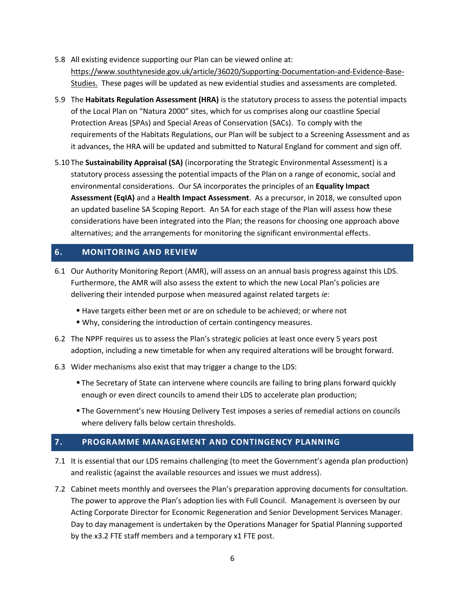- 5.8 All existing evidence supporting our Plan can be viewed online at: [https://www.southtyneside.gov.uk/article/36020/Supporting-Documentation-and-Evidence-Base-](https://www.southtyneside.gov.uk/article/36020/Supporting-Documentation-and-Evidence-Base-Studies)[Studies.](https://www.southtyneside.gov.uk/article/36020/Supporting-Documentation-and-Evidence-Base-Studies) These pages will be updated as new evidential studies and assessments are completed.
- 5.9 The **Habitats Regulation Assessment (HRA)** is the statutory process to assess the potential impacts of the Local Plan on "Natura 2000" sites, which for us comprises along our coastline Special Protection Areas (SPAs) and Special Areas of Conservation (SACs). To comply with the requirements of the Habitats Regulations, our Plan will be subject to a Screening Assessment and as it advances, the HRA will be updated and submitted to Natural England for comment and sign off.
- 5.10 The **Sustainability Appraisal (SA)** (incorporating the Strategic Environmental Assessment) is a statutory process assessing the potential impacts of the Plan on a range of economic, social and environmental considerations. Our SA incorporates the principles of an **Equality Impact Assessment (EqIA)** and a **Health Impact Assessment**. As a precursor, in 2018, we consulted upon an updated baseline SA Scoping Report. An SA for each stage of the Plan will assess how these considerations have been integrated into the Plan; the reasons for choosing one approach above alternatives; and the arrangements for monitoring the significant environmental effects.

## **6. MONITORING AND REVIEW**

- 6.1 Our Authority Monitoring Report (AMR), will assess on an annual basis progress against this LDS. Furthermore, the AMR will also assess the extent to which the new Local Plan's policies are delivering their intended purpose when measured against related targets *ie*:
	- Have targets either been met or are on schedule to be achieved; or where not
	- Why, considering the introduction of certain contingency measures.
- 6.2 The NPPF requires us to assess the Plan's strategic policies at least once every 5 years post adoption, including a new timetable for when any required alterations will be brought forward.
- 6.3 Wider mechanisms also exist that may trigger a change to the LDS:
	- **The Secretary of State can intervene where councils are failing to bring plans forward quickly** enough or even direct councils to amend their LDS to accelerate plan production;
	- The Government's new Housing Delivery Test imposes a series of remedial actions on councils where delivery falls below certain thresholds.

# **7. PROGRAMME MANAGEMENT AND CONTINGENCY PLANNING**

- 7.1 It is essential that our LDS remains challenging (to meet the Government's agenda plan production) and realistic (against the available resources and issues we must address).
- 7.2 Cabinet meets monthly and oversees the Plan's preparation approving documents for consultation. The power to approve the Plan's adoption lies with Full Council. Management is overseen by our Acting Corporate Director for Economic Regeneration and Senior Development Services Manager. Day to day management is undertaken by the Operations Manager for Spatial Planning supported by the x3.2 FTE staff members and a temporary x1 FTE post.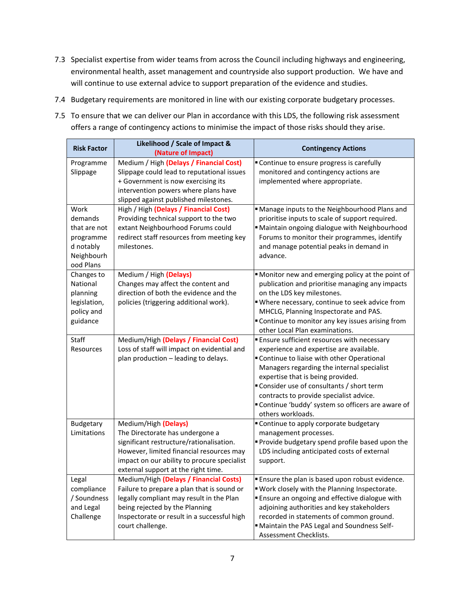- 7.3 Specialist expertise from wider teams from across the Council including highways and engineering, environmental health, asset management and countryside also support production. We have and will continue to use external advice to support preparation of the evidence and studies.
- 7.4 Budgetary requirements are monitored in line with our existing corporate budgetary processes.
- 7.5 To ensure that we can deliver our Plan in accordance with this LDS, the following risk assessment offers a range of contingency actions to minimise the impact of those risks should they arise.

| <b>Risk Factor</b>      | Likelihood / Scale of Impact &<br>(Nature of Impact)                          | <b>Contingency Actions</b>                                                             |
|-------------------------|-------------------------------------------------------------------------------|----------------------------------------------------------------------------------------|
| Programme               | Medium / High (Delays / Financial Cost)                                       | " Continue to ensure progress is carefully                                             |
| Slippage                | Slippage could lead to reputational issues                                    | monitored and contingency actions are                                                  |
|                         | + Government is now exercising its                                            | implemented where appropriate.                                                         |
|                         | intervention powers where plans have                                          |                                                                                        |
|                         | slipped against published milestones.                                         |                                                                                        |
| Work                    | High / High (Delays / Financial Cost)                                         | " Manage inputs to the Neighbourhood Plans and                                         |
| demands                 | Providing technical support to the two                                        | prioritise inputs to scale of support required.                                        |
| that are not            | extant Neighbourhood Forums could                                             | " Maintain ongoing dialogue with Neighbourhood                                         |
| programme               | redirect staff resources from meeting key                                     | Forums to monitor their programmes, identify                                           |
| d notably               | milestones.                                                                   | and manage potential peaks in demand in                                                |
| Neighbourh<br>ood Plans |                                                                               | advance.                                                                               |
| Changes to              | Medium / High (Delays)                                                        | " Monitor new and emerging policy at the point of                                      |
| National                | Changes may affect the content and                                            | publication and prioritise managing any impacts                                        |
| planning                | direction of both the evidence and the                                        | on the LDS key milestones.                                                             |
| legislation,            | policies (triggering additional work).                                        | "Where necessary, continue to seek advice from                                         |
| policy and              |                                                                               | MHCLG, Planning Inspectorate and PAS.                                                  |
| guidance                |                                                                               | " Continue to monitor any key issues arising from                                      |
|                         |                                                                               | other Local Plan examinations.                                                         |
| Staff                   | Medium/High (Delays / Financial Cost)                                         | <b>Ensure sufficient resources with necessary</b>                                      |
| Resources               | Loss of staff will impact on evidential and                                   | experience and expertise are available.                                                |
|                         | plan production - leading to delays.                                          | " Continue to liaise with other Operational                                            |
|                         |                                                                               | Managers regarding the internal specialist                                             |
|                         |                                                                               | expertise that is being provided.                                                      |
|                         |                                                                               | "Consider use of consultants / short term                                              |
|                         |                                                                               | contracts to provide specialist advice.                                                |
|                         |                                                                               | " Continue 'buddy' system so officers are aware of<br>others workloads.                |
| Budgetary               | Medium/High (Delays)                                                          | " Continue to apply corporate budgetary                                                |
| Limitations             | The Directorate has undergone a                                               | management processes.                                                                  |
|                         | significant restructure/rationalisation.                                      | " Provide budgetary spend profile based upon the                                       |
|                         | However, limited financial resources may                                      | LDS including anticipated costs of external                                            |
|                         | impact on our ability to procure specialist                                   | support.                                                                               |
|                         | external support at the right time.                                           |                                                                                        |
| Legal                   | Medium/High (Delays / Financial Costs)                                        | Ensure the plan is based upon robust evidence.                                         |
| compliance              | Failure to prepare a plan that is sound or                                    | " Work closely with the Planning Inspectorate.                                         |
| / Soundness             | legally compliant may result in the Plan                                      | " Ensure an ongoing and effective dialogue with                                        |
| and Legal<br>Challenge  | being rejected by the Planning<br>Inspectorate or result in a successful high | adjoining authorities and key stakeholders<br>recorded in statements of common ground. |
|                         | court challenge.                                                              | " Maintain the PAS Legal and Soundness Self-                                           |
|                         |                                                                               | Assessment Checklists.                                                                 |